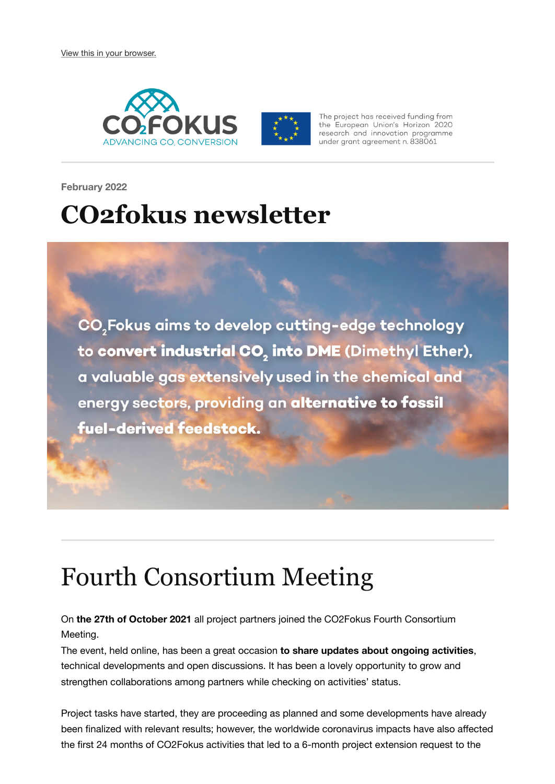

The project has received funding from the European Union's Horizon 2020 research and innovation programme under grant agreement n. 838061

**February 2022**

## **CO2fokus newsletter**

CO<sub>2</sub>Fokus aims to develop cutting-edge technology to convert industrial CO<sub>2</sub> into DME (Dimethyl Ether), a valuable gas extensively used in the chemical and energy sectors, providing an alternative to fossil fuel-derived feedstock.

#### Fourth Consortium Meeting

On **the 27th of October 2021** all project partners joined the CO2Fokus Fourth Consortium Meeting.

The event, held online, has been a great occasion **to share updates about ongoing activities**, technical developments and open discussions. It has been a lovely opportunity to grow and strengthen collaborations among partners while checking on activities' status.

Project tasks have started, they are proceeding as planned and some developments have already been finalized with relevant results; however, the worldwide coronavirus impacts have also affected the first 24 months of CO2Fokus activities that led to a 6-month project extension request to the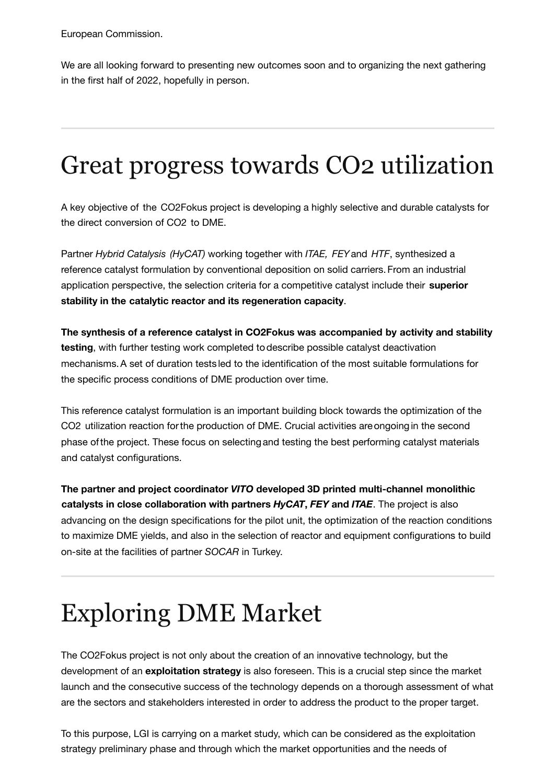European Commission.

We are all looking forward to presenting new outcomes soon and to organizing the next gathering in the first half of 2022, hopefully in person.

# Great progress towards CO2 utilization

A key objective of the CO2Fokus project is developing a highly selective and durable catalysts for the direct conversion of CO2 to DME.

Partner *Hybrid Catalysis (HyCAT)* working together with *ITAE, FEY*and *HTF*, synthesized a reference catalyst formulation by conventional deposition on solid carriers.From an industrial application perspective, the selection criteria for a competitive catalyst include their **superior stability in the catalytic reactor and its regeneration capacity**.

**The synthesis of a reference catalyst in CO2Fokus was accompanied by activity and stability testing**, with further testing work completed todescribe possible catalyst deactivation mechanisms.A set of duration tests led to the identification of the most suitable formulations for the specific process conditions of DME production over time.

This reference catalyst formulation is an important building block towards the optimization of the CO2 utilization reaction forthe production of DME. Crucial activities areongoingin the second phase ofthe project. These focus on selectingand testing the best performing catalyst materials and catalyst configurations.

**The partner and project coordinator** *VITO* **developed 3D printed multi-channel monolithic catalysts in close collaboration with partners** *HyCAT***,** *FEY* **and** *ITAE*. The project is also advancing on the design specifications for the pilot unit, the optimization of the reaction conditions to maximize DME yields, and also in the selection of reactor and equipment configurations to build on-site at the facilities of partner *SOCAR* in Turkey.

### Exploring DME Market

The CO2Fokus project is not only about the creation of an innovative technology, but the development of an **exploitation strategy** is also foreseen. This is a crucial step since the market launch and the consecutive success of the technology depends on a thorough assessment of what are the sectors and stakeholders interested in order to address the product to the proper target.

To this purpose, LGI is carrying on a market study, which can be considered as the exploitation strategy preliminary phase and through which the market opportunities and the needs of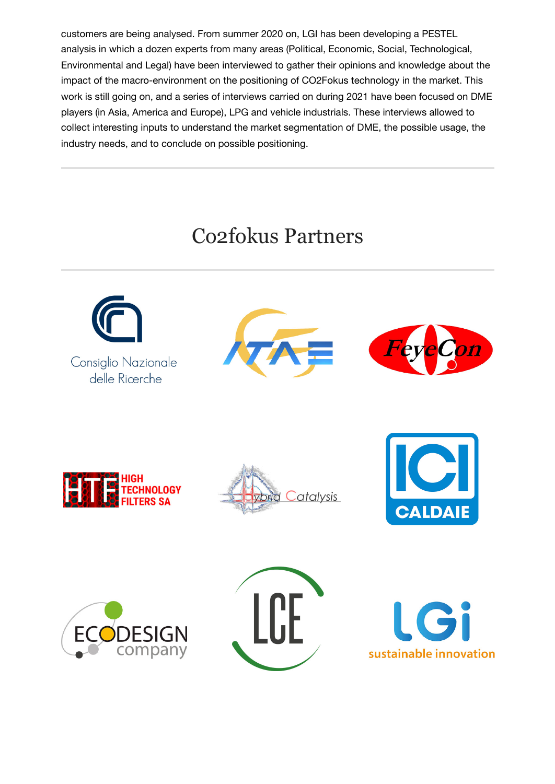customers are being analysed. From summer 2020 on, LGI has been developing a PESTEL analysis in which a dozen experts from many areas (Political, Economic, Social, Technological, Environmental and Legal) have been interviewed to gather their opinions and knowledge about the impact of the macro-environment on the positioning of CO2Fokus technology in the market. This work is still going on, and a series of interviews carried on during 2021 have been focused on DME players (in Asia, America and Europe), LPG and vehicle industrials. These interviews allowed to collect interesting inputs to understand the market segmentation of DME, the possible usage, the industry needs, and to conclude on possible positioning.

#### Co2fokus Partners